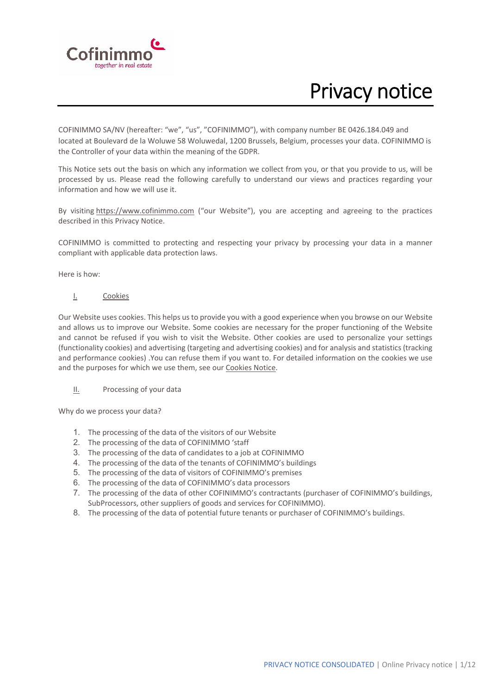

# Privacy notice

COFINIMMO SA/NV (hereafter: "we", "us", "COFINIMMO"), with company number BE 0426.184.049 and located at Boulevard de la Woluwe 58 Woluwedal, 1200 Brussels, Belgium, processes your data. COFINIMMO is the Controller of your data within the meaning of the GDPR.

This Notice sets out the basis on which any information we collect from you, or that you provide to us, will be processed by us. Please read the following carefully to understand our views and practices regarding your information and how we will use it.

By visiting https://www.cofinimmo.com ("our Website"), you are accepting and agreeing to the practices described in this Privacy Notice.

COFINIMMO is committed to protecting and respecting your privacy by processing your data in a manner compliant with applicable data protection laws.

Here is how:

I. Cookies

Our Website uses cookies. This helps us to provide you with a good experience when you browse on our Website and allows us to improve our Website. Some cookies are necessary for the proper functioning of the Website and cannot be refused if you wish to visit the Website. Other cookies are used to personalize your settings (functionality cookies) and advertising (targeting and advertising cookies) and for analysis and statistics (tracking and performance cookies) .You can refuse them if you want to. For detailed information on the cookies we use and the purposes for which we use them, see our Cookies Notice.

II. Processing of your data

Why do we process your data?

- 1. The processing of the data of the visitors of our Website
- 2. The processing of the data of COFINIMMO 'staff
- 3. The processing of the data of candidates to a job at COFINIMMO
- 4. The processing of the data of the tenants of COFINIMMO's buildings
- 5. The processing of the data of visitors of COFINIMMO's premises
- 6. The processing of the data of COFINIMMO's data processors
- 7. The processing of the data of other COFINIMMO's contractants (purchaser of COFINIMMO's buildings, SubProcessors, other suppliers of goods and services for COFINIMMO).
- 8. The processing of the data of potential future tenants or purchaser of COFINIMMO's buildings.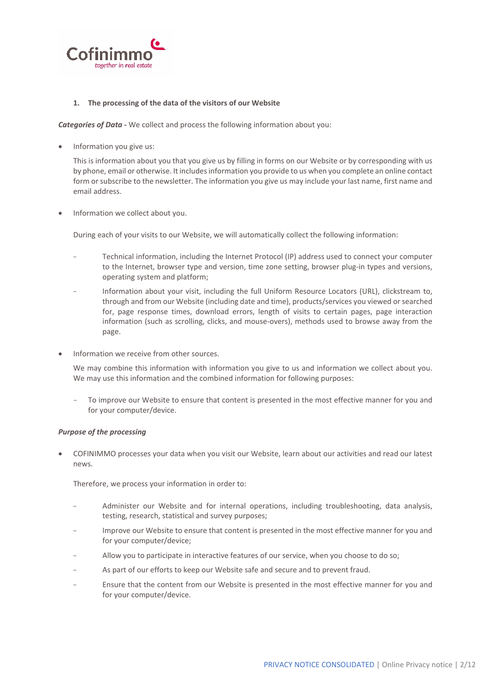

## **1. The processing of the data of the visitors of our Website**

*Categories of Data ‐* We collect and process the following information about you:

Information you give us:

This is information about you that you give us by filling in forms on our Website or by corresponding with us by phone, email or otherwise. It includesinformation you provide to us when you complete an online contact form or subscribe to the newsletter. The information you give us may include your last name, first name and email address.

Information we collect about you.

During each of your visits to our Website, we will automatically collect the following information:

- Technical information, including the Internet Protocol (IP) address used to connect your computer to the Internet, browser type and version, time zone setting, browser plug-in types and versions, operating system and platform;
- Information about your visit, including the full Uniform Resource Locators (URL), clickstream to, through and from our Website (including date and time), products/services you viewed or searched for, page response times, download errors, length of visits to certain pages, page interaction information (such as scrolling, clicks, and mouse‐overs), methods used to browse away from the page.
- Information we receive from other sources.

We may combine this information with information you give to us and information we collect about you. We may use this information and the combined information for following purposes:

- To improve our Website to ensure that content is presented in the most effective manner for you and for your computer/device.

## *Purpose of the processing*

 COFINIMMO processes your data when you visit our Website, learn about our activities and read our latest news.

Therefore, we process your information in order to:

- Administer our Website and for internal operations, including troubleshooting, data analysis, testing, research, statistical and survey purposes;
- Improve our Website to ensure that content is presented in the most effective manner for you and for your computer/device;
- Allow you to participate in interactive features of our service, when you choose to do so;
- As part of our efforts to keep our Website safe and secure and to prevent fraud.
- Ensure that the content from our Website is presented in the most effective manner for you and for your computer/device.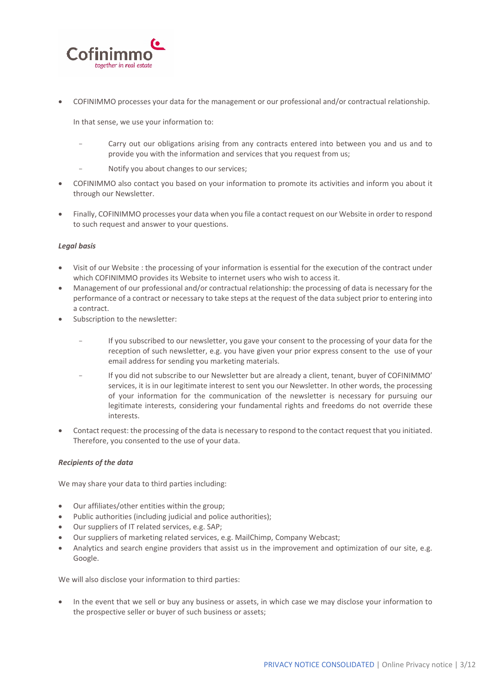

COFINIMMO processes your data for the management or our professional and/or contractual relationship.

In that sense, we use your information to:

- Carry out our obligations arising from any contracts entered into between you and us and to provide you with the information and services that you request from us;
- Notify you about changes to our services:
- COFINIMMO also contact you based on your information to promote its activities and inform you about it through our Newsletter.
- Finally, COFINIMMO processes your data when you file a contact request on our Website in order to respond to such request and answer to your questions.

## *Legal basis*

- Visit of our Website : the processing of your information is essential for the execution of the contract under which COFINIMMO provides its Website to internet users who wish to access it.
- Management of our professional and/or contractual relationship: the processing of data is necessary for the performance of a contract or necessary to take steps at the request of the data subject prior to entering into a contract.
- Subscription to the newsletter:
	- If you subscribed to our newsletter, you gave your consent to the processing of your data for the reception of such newsletter, e.g. you have given your prior express consent to the use of your email address for sending you marketing materials.
	- If you did not subscribe to our Newsletter but are already a client, tenant, buyer of COFINIMMO' services, it is in our legitimate interest to sent you our Newsletter. In other words, the processing of your information for the communication of the newsletter is necessary for pursuing our legitimate interests, considering your fundamental rights and freedoms do not override these interests.
- Contact request: the processing of the data is necessary to respond to the contact request that you initiated. Therefore, you consented to the use of your data.

## *Recipients of the data*

We may share your data to third parties including:

- Our affiliates/other entities within the group;
- Public authorities (including judicial and police authorities);
- Our suppliers of IT related services, e.g. SAP;
- Our suppliers of marketing related services, e.g. MailChimp, Company Webcast;
- Analytics and search engine providers that assist us in the improvement and optimization of our site, e.g. Google.

We will also disclose your information to third parties:

 In the event that we sell or buy any business or assets, in which case we may disclose your information to the prospective seller or buyer of such business or assets;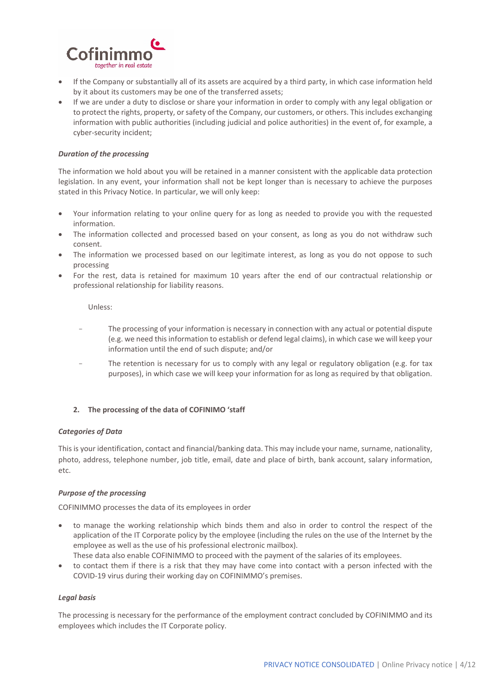

- If the Company or substantially all of its assets are acquired by a third party, in which case information held by it about its customers may be one of the transferred assets;
- If we are under a duty to disclose or share your information in order to comply with any legal obligation or to protect the rights, property, or safety of the Company, our customers, or others. This includes exchanging information with public authorities (including judicial and police authorities) in the event of, for example, a cyber‐security incident;

## *Duration of the processing*

The information we hold about you will be retained in a manner consistent with the applicable data protection legislation. In any event, your information shall not be kept longer than is necessary to achieve the purposes stated in this Privacy Notice. In particular, we will only keep:

- Your information relating to your online query for as long as needed to provide you with the requested information.
- The information collected and processed based on your consent, as long as you do not withdraw such consent.
- The information we processed based on our legitimate interest, as long as you do not oppose to such processing
- For the rest, data is retained for maximum 10 years after the end of our contractual relationship or professional relationship for liability reasons.

Unless:

- The processing of your information is necessary in connection with any actual or potential dispute (e.g. we need this information to establish or defend legal claims), in which case we will keep your information until the end of such dispute; and/or
- The retention is necessary for us to comply with any legal or regulatory obligation (e.g. for tax purposes), in which case we will keep your information for as long as required by that obligation.

## **2. The processing of the data of COFINIMO 'staff**

#### *Categories of Data*

This is your identification, contact and financial/banking data. This may include your name, surname, nationality, photo, address, telephone number, job title, email, date and place of birth, bank account, salary information, etc.

## *Purpose of the processing*

COFINIMMO processes the data of its employees in order

- to manage the working relationship which binds them and also in order to control the respect of the application of the IT Corporate policy by the employee (including the rules on the use of the Internet by the employee as well as the use of his professional electronic mailbox).
	- These data also enable COFINIMMO to proceed with the payment of the salaries of its employees.
- to contact them if there is a risk that they may have come into contact with a person infected with the COVID‐19 virus during their working day on COFINIMMO's premises.

#### *Legal basis*

The processing is necessary for the performance of the employment contract concluded by COFINIMMO and its employees which includes the IT Corporate policy.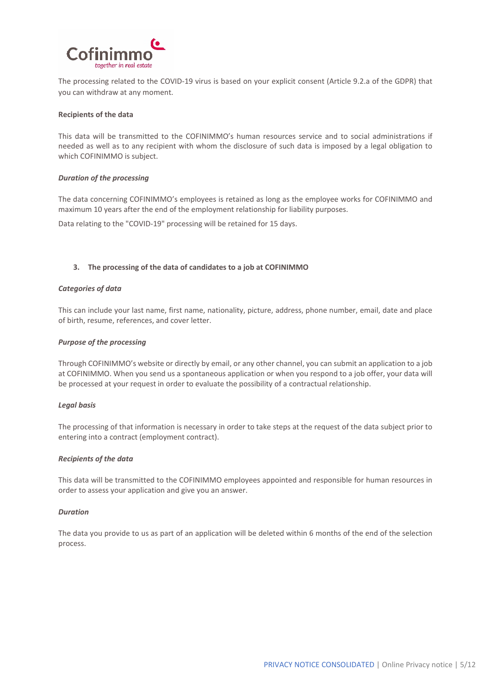

The processing related to the COVID‐19 virus is based on your explicit consent (Article 9.2.a of the GDPR) that you can withdraw at any moment.

### **Recipients of the data**

This data will be transmitted to the COFINIMMO's human resources service and to social administrations if needed as well as to any recipient with whom the disclosure of such data is imposed by a legal obligation to which COFINIMMO is subject.

### *Duration of the processing*

The data concerning COFINIMMO's employees is retained as long as the employee works for COFINIMMO and maximum 10 years after the end of the employment relationship for liability purposes.

Data relating to the "COVID‐19" processing will be retained for 15 days.

## **3. The processing of the data of candidates to a job at COFINIMMO**

### *Categories of data*

This can include your last name, first name, nationality, picture, address, phone number, email, date and place of birth, resume, references, and cover letter.

### *Purpose of the processing*

Through COFINIMMO's website or directly by email, or any other channel, you can submit an application to a job at COFINIMMO. When you send us a spontaneous application or when you respond to a job offer, your data will be processed at your request in order to evaluate the possibility of a contractual relationship.

#### *Legal basis*

The processing of that information is necessary in order to take steps at the request of the data subject prior to entering into a contract (employment contract).

#### *Recipients of the data*

This data will be transmitted to the COFINIMMO employees appointed and responsible for human resources in order to assess your application and give you an answer.

## *Duration*

The data you provide to us as part of an application will be deleted within 6 months of the end of the selection process.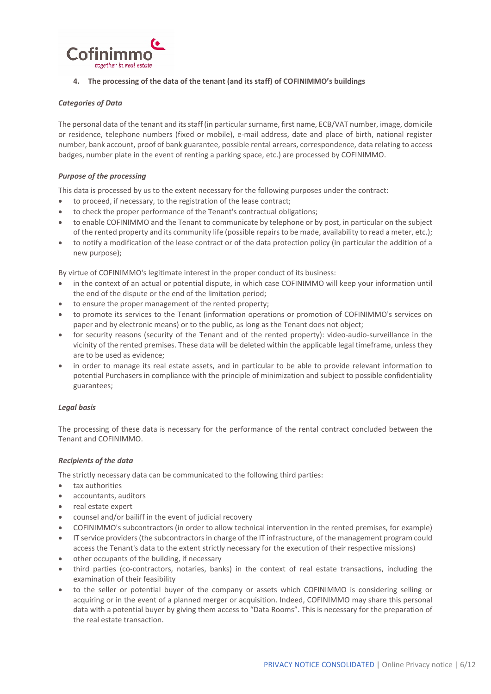

# **4. The processing of the data of the tenant (and its staff) of COFINIMMO's buildings**

## *Categories of Data*

The personal data of the tenant and itsstaff (in particularsurname, first name, ECB/VAT number, image, domicile or residence, telephone numbers (fixed or mobile), e‐mail address, date and place of birth, national register number, bank account, proof of bank guarantee, possible rental arrears, correspondence, data relating to access badges, number plate in the event of renting a parking space, etc.) are processed by COFINIMMO.

# *Purpose of the processing*

This data is processed by us to the extent necessary for the following purposes under the contract:

- to proceed, if necessary, to the registration of the lease contract;
- to check the proper performance of the Tenant's contractual obligations;
- to enable COFINIMMO and the Tenant to communicate by telephone or by post, in particular on the subject of the rented property and its community life (possible repairs to be made, availability to read a meter, etc.);
- to notify a modification of the lease contract or of the data protection policy (in particular the addition of a new purpose);

By virtue of COFINIMMO's legitimate interest in the proper conduct of its business:

- in the context of an actual or potential dispute, in which case COFINIMMO will keep your information until the end of the dispute or the end of the limitation period;
- to ensure the proper management of the rented property;
- to promote its services to the Tenant (information operations or promotion of COFINIMMO's services on paper and by electronic means) or to the public, as long as the Tenant does not object;
- for security reasons (security of the Tenant and of the rented property): video-audio-surveillance in the vicinity of the rented premises. These data will be deleted within the applicable legal timeframe, unless they are to be used as evidence;
- in order to manage its real estate assets, and in particular to be able to provide relevant information to potential Purchasers in compliance with the principle of minimization and subject to possible confidentiality guarantees;

## *Legal basis*

The processing of these data is necessary for the performance of the rental contract concluded between the Tenant and COFINIMMO.

# *Recipients of the data*

The strictly necessary data can be communicated to the following third parties:

- tax authorities
- accountants, auditors
- real estate expert
- counsel and/or bailiff in the event of judicial recovery
- COFINIMMO's subcontractors (in order to allow technical intervention in the rented premises, for example)
- IT service providers(the subcontractorsin charge of the IT infrastructure, of the management program could access the Tenant's data to the extent strictly necessary for the execution of their respective missions)
- other occupants of the building, if necessary
- third parties (co-contractors, notaries, banks) in the context of real estate transactions, including the examination of their feasibility
- to the seller or potential buyer of the company or assets which COFINIMMO is considering selling or acquiring or in the event of a planned merger or acquisition. Indeed, COFINIMMO may share this personal data with a potential buyer by giving them access to "Data Rooms". This is necessary for the preparation of the real estate transaction.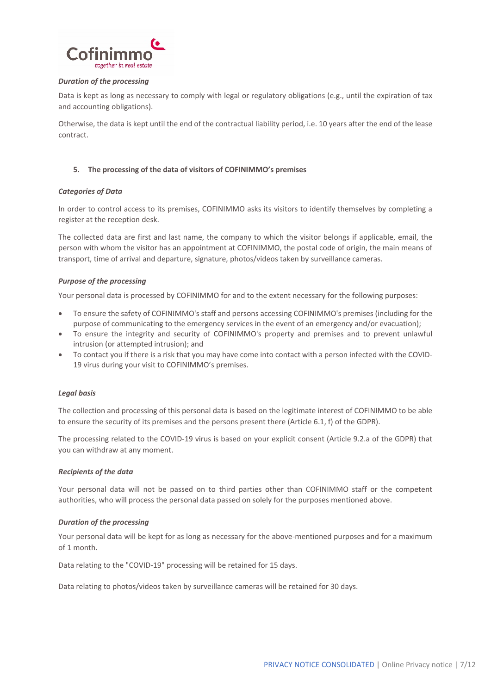

## *Duration of the processing*

Data is kept as long as necessary to comply with legal or regulatory obligations (e.g., until the expiration of tax and accounting obligations).

Otherwise, the data is kept until the end of the contractual liability period, i.e. 10 years after the end of the lease contract.

## **5. The processing of the data of visitors of COFINIMMO's premises**

## *Categories of Data*

In order to control access to its premises, COFINIMMO asks its visitors to identify themselves by completing a register at the reception desk.

The collected data are first and last name, the company to which the visitor belongs if applicable, email, the person with whom the visitor has an appointment at COFINIMMO, the postal code of origin, the main means of transport, time of arrival and departure, signature, photos/videos taken by surveillance cameras.

## *Purpose of the processing*

Your personal data is processed by COFINIMMO for and to the extent necessary for the following purposes:

- To ensure the safety of COFINIMMO's staff and persons accessing COFINIMMO's premises (including for the purpose of communicating to the emergency services in the event of an emergency and/or evacuation);
- To ensure the integrity and security of COFINIMMO's property and premises and to prevent unlawful intrusion (or attempted intrusion); and
- To contact you if there is a risk that you may have come into contact with a person infected with the COVID‐ 19 virus during your visit to COFINIMMO's premises.

## *Legal basis*

The collection and processing of this personal data is based on the legitimate interest of COFINIMMO to be able to ensure the security of its premises and the persons present there (Article 6.1, f) of the GDPR).

The processing related to the COVID‐19 virus is based on your explicit consent (Article 9.2.a of the GDPR) that you can withdraw at any moment.

#### *Recipients of the data*

Your personal data will not be passed on to third parties other than COFINIMMO staff or the competent authorities, who will process the personal data passed on solely for the purposes mentioned above.

#### *Duration of the processing*

Your personal data will be kept for as long as necessary for the above-mentioned purposes and for a maximum of 1 month.

Data relating to the "COVID‐19" processing will be retained for 15 days.

Data relating to photos/videos taken by surveillance cameras will be retained for 30 days.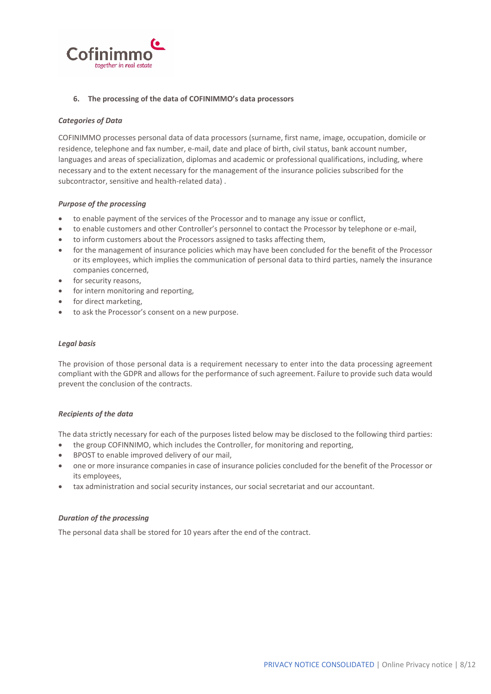

## **6. The processing of the data of COFINIMMO's data processors**

## *Categories of Data*

COFINIMMO processes personal data of data processors (surname, first name, image, occupation, domicile or residence, telephone and fax number, e-mail, date and place of birth, civil status, bank account number, languages and areas of specialization, diplomas and academic or professional qualifications, including, where necessary and to the extent necessary for the management of the insurance policies subscribed for the subcontractor, sensitive and health‐related data) .

### *Purpose of the processing*

- to enable payment of the services of the Processor and to manage any issue or conflict,
- to enable customers and other Controller's personnel to contact the Processor by telephone or e‐mail,
- to inform customers about the Processors assigned to tasks affecting them,
- for the management of insurance policies which may have been concluded for the benefit of the Processor or its employees, which implies the communication of personal data to third parties, namely the insurance companies concerned,
- for security reasons,
- for intern monitoring and reporting,
- for direct marketing,
- to ask the Processor's consent on a new purpose.

#### *Legal basis*

The provision of those personal data is a requirement necessary to enter into the data processing agreement compliant with the GDPR and allows for the performance of such agreement. Failure to provide such data would prevent the conclusion of the contracts.

#### *Recipients of the data*

The data strictly necessary for each of the purposes listed below may be disclosed to the following third parties:

- the group COFINNIMO, which includes the Controller, for monitoring and reporting,
- BPOST to enable improved delivery of our mail,
- one or more insurance companies in case of insurance policies concluded for the benefit of the Processor or its employees,
- tax administration and social security instances, our social secretariat and our accountant.

## *Duration of the processing*

The personal data shall be stored for 10 years after the end of the contract.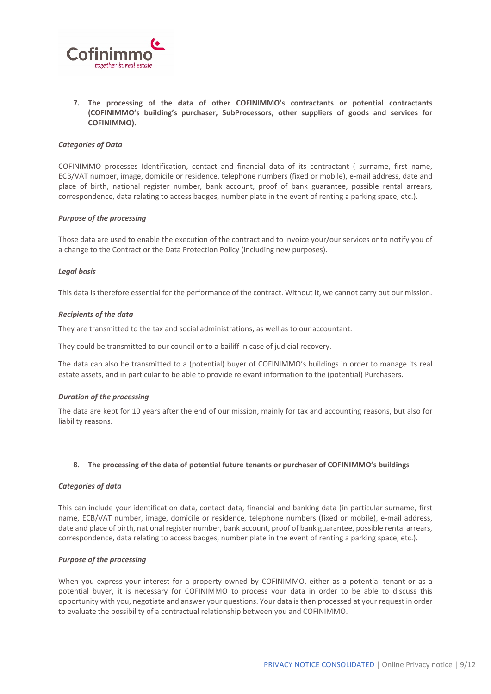

**7. The processing of the data of other COFINIMMO's contractants or potential contractants (COFINIMMO's building's purchaser, SubProcessors, other suppliers of goods and services for COFINIMMO).** 

#### *Categories of Data*

COFINIMMO processes Identification, contact and financial data of its contractant ( surname, first name, ECB/VAT number, image, domicile or residence, telephone numbers (fixed or mobile), e‐mail address, date and place of birth, national register number, bank account, proof of bank guarantee, possible rental arrears, correspondence, data relating to access badges, number plate in the event of renting a parking space, etc.).

#### *Purpose of the processing*

Those data are used to enable the execution of the contract and to invoice your/our services or to notify you of a change to the Contract or the Data Protection Policy (including new purposes).

#### *Legal basis*

This data is therefore essential for the performance of the contract. Without it, we cannot carry out our mission.

### *Recipients of the data*

They are transmitted to the tax and social administrations, as well as to our accountant.

They could be transmitted to our council or to a bailiff in case of judicial recovery.

The data can also be transmitted to a (potential) buyer of COFINIMMO's buildings in order to manage its real estate assets, and in particular to be able to provide relevant information to the (potential) Purchasers.

#### *Duration of the processing*

The data are kept for 10 years after the end of our mission, mainly for tax and accounting reasons, but also for liability reasons.

#### **8. The processing of the data of potential future tenants or purchaser of COFINIMMO's buildings**

#### *Categories of data*

This can include your identification data, contact data, financial and banking data (in particular surname, first name, ECB/VAT number, image, domicile or residence, telephone numbers (fixed or mobile), e-mail address, date and place of birth, national register number, bank account, proof of bank guarantee, possible rental arrears, correspondence, data relating to access badges, number plate in the event of renting a parking space, etc.).

## *Purpose of the processing*

When you express your interest for a property owned by COFINIMMO, either as a potential tenant or as a potential buyer, it is necessary for COFINIMMO to process your data in order to be able to discuss this opportunity with you, negotiate and answer your questions. Your data is then processed at your request in order to evaluate the possibility of a contractual relationship between you and COFINIMMO.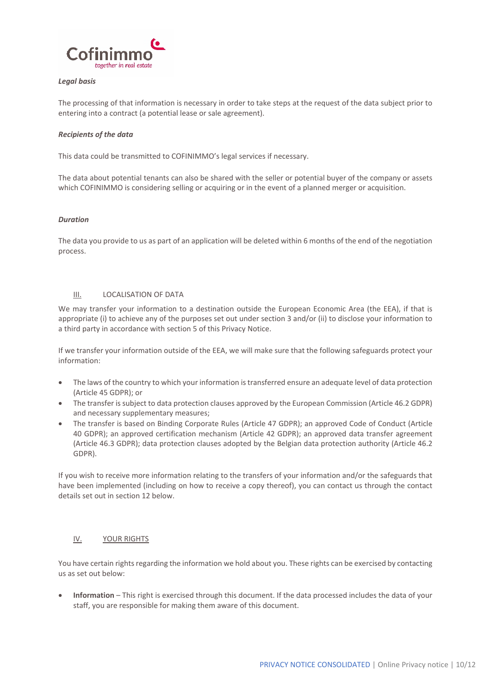

## *Legal basis*

The processing of that information is necessary in order to take steps at the request of the data subject prior to entering into a contract (a potential lease or sale agreement).

## *Recipients of the data*

This data could be transmitted to COFINIMMO's legal services if necessary.

The data about potential tenants can also be shared with the seller or potential buyer of the company or assets which COFINIMMO is considering selling or acquiring or in the event of a planned merger or acquisition.

#### *Duration*

The data you provide to us as part of an application will be deleted within 6 months of the end of the negotiation process.

## III. LOCALISATION OF DATA

We may transfer your information to a destination outside the European Economic Area (the EEA), if that is appropriate (i) to achieve any of the purposes set out under section 3 and/or (ii) to disclose your information to a third party in accordance with section 5 of this Privacy Notice.

If we transfer your information outside of the EEA, we will make sure that the following safeguards protect your information:

- The laws of the country to which your information is transferred ensure an adequate level of data protection (Article 45 GDPR); or
- The transfer issubject to data protection clauses approved by the European Commission (Article 46.2 GDPR) and necessary supplementary measures;
- The transfer is based on Binding Corporate Rules (Article 47 GDPR); an approved Code of Conduct (Article 40 GDPR); an approved certification mechanism (Article 42 GDPR); an approved data transfer agreement (Article 46.3 GDPR); data protection clauses adopted by the Belgian data protection authority (Article 46.2 GDPR).

If you wish to receive more information relating to the transfers of your information and/or the safeguards that have been implemented (including on how to receive a copy thereof), you can contact us through the contact details set out in section 12 below.

## IV. YOUR RIGHTS

You have certain rights regarding the information we hold about you. These rights can be exercised by contacting us as set out below:

 **Information** – This right is exercised through this document. If the data processed includes the data of your staff, you are responsible for making them aware of this document.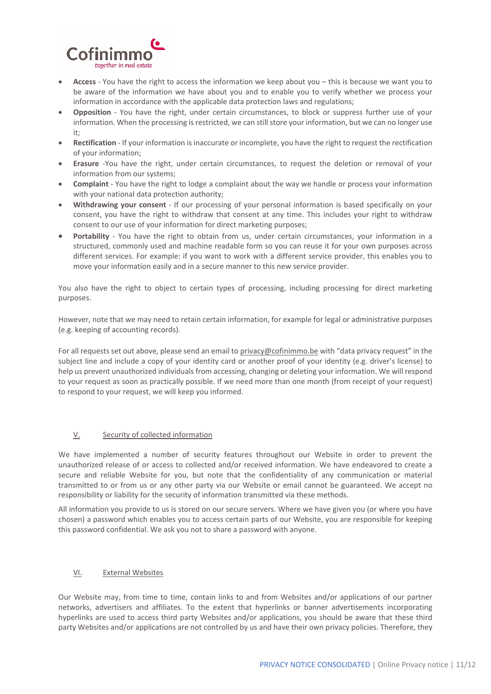

- **Access** You have the right to access the information we keep about you this is because we want you to be aware of the information we have about you and to enable you to verify whether we process your information in accordance with the applicable data protection laws and regulations;
- **•** Opposition You have the right, under certain circumstances, to block or suppress further use of your information. When the processing is restricted, we can still store your information, but we can no longer use it;
- **Rectification** ‐ If your information is inaccurate or incomplete, you have the right to request the rectification of your information;
- **Erasure** ‐You have the right, under certain circumstances, to request the deletion or removal of your information from our systems;
- **Complaint** ‐ You have the right to lodge a complaint about the way we handle or process your information with your national data protection authority;
- **Withdrawing your consent** ‐ If our processing of your personal information is based specifically on your consent, you have the right to withdraw that consent at any time. This includes your right to withdraw consent to our use of your information for direct marketing purposes;
- **Portability** You have the right to obtain from us, under certain circumstances, your information in a structured, commonly used and machine readable form so you can reuse it for your own purposes across different services. For example: if you want to work with a different service provider, this enables you to move your information easily and in a secure manner to this new service provider.

You also have the right to object to certain types of processing, including processing for direct marketing purposes.

However, note that we may need to retain certain information, for example for legal or administrative purposes (e.g. keeping of accounting records).

For all requests set out above, please send an email to privacy@cofinimmo.be with "data privacy request" in the subject line and include a copy of your identity card or another proof of your identity (e.g. driver's license) to help us prevent unauthorized individuals from accessing, changing or deleting your information. We will respond to your request as soon as practically possible. If we need more than one month (from receipt of your request) to respond to your request, we will keep you informed.

## V. Security of collected information

We have implemented a number of security features throughout our Website in order to prevent the unauthorized release of or access to collected and/or received information. We have endeavored to create a secure and reliable Website for you, but note that the confidentiality of any communication or material transmitted to or from us or any other party via our Website or email cannot be guaranteed. We accept no responsibility or liability for the security of information transmitted via these methods.

All information you provide to us is stored on our secure servers. Where we have given you (or where you have chosen) a password which enables you to access certain parts of our Website, you are responsible for keeping this password confidential. We ask you not to share a password with anyone.

## VI. External Websites

Our Website may, from time to time, contain links to and from Websites and/or applications of our partner networks, advertisers and affiliates. To the extent that hyperlinks or banner advertisements incorporating hyperlinks are used to access third party Websites and/or applications, you should be aware that these third party Websites and/or applications are not controlled by us and have their own privacy policies. Therefore, they